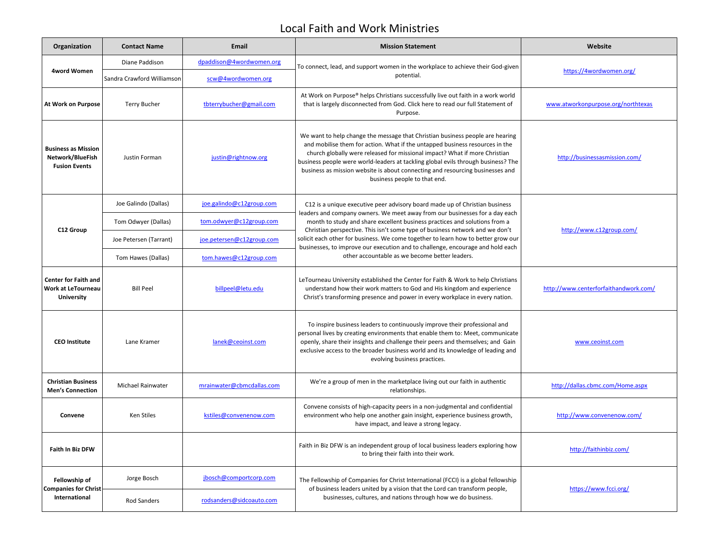## Local Faith and Work Ministries

| Organization                                                           | <b>Contact Name</b>        | Email                     | <b>Mission Statement</b>                                                                                                                                                                                                                                                                                                                                                                                                                                                                                                                          | Website                               |
|------------------------------------------------------------------------|----------------------------|---------------------------|---------------------------------------------------------------------------------------------------------------------------------------------------------------------------------------------------------------------------------------------------------------------------------------------------------------------------------------------------------------------------------------------------------------------------------------------------------------------------------------------------------------------------------------------------|---------------------------------------|
| 4word Women                                                            | Diane Paddison             | dpaddison@4wordwomen.org  | To connect, lead, and support women in the workplace to achieve their God-given<br>potential.                                                                                                                                                                                                                                                                                                                                                                                                                                                     | https://4wordwomen.org/               |
|                                                                        | Sandra Crawford Williamson | scw@4wordwomen.org        |                                                                                                                                                                                                                                                                                                                                                                                                                                                                                                                                                   |                                       |
| <b>At Work on Purpose</b>                                              | <b>Terry Bucher</b>        | tbterrybucher@gmail.com   | At Work on Purpose® helps Christians successfully live out faith in a work world<br>that is largely disconnected from God. Click here to read our full Statement of<br>Purpose.                                                                                                                                                                                                                                                                                                                                                                   | www.atworkonpurpose.org/northtexas    |
| <b>Business as Mission</b><br>Network/BlueFish<br><b>Fusion Events</b> | Justin Forman              | justin@rightnow.org       | We want to help change the message that Christian business people are hearing<br>and mobilise them for action. What if the untapped business resources in the<br>church globally were released for missional impact? What if more Christian<br>business people were world-leaders at tackling global evils through business? The<br>business as mission website is about connecting and resourcing businesses and<br>business people to that end.                                                                                                 | http://businessasmission.com/         |
| C12 Group                                                              | Joe Galindo (Dallas)       | joe.galindo@c12group.com  | C12 is a unique executive peer advisory board made up of Christian business<br>leaders and company owners. We meet away from our businesses for a day each<br>month to study and share excellent business practices and solutions from a<br>Christian perspective. This isn't some type of business network and we don't<br>solicit each other for business. We come together to learn how to better grow our<br>businesses, to improve our execution and to challenge, encourage and hold each<br>other accountable as we become better leaders. | http://www.c12group.com/              |
|                                                                        | Tom Odwyer (Dallas)        | tom.odwyer@c12group.com   |                                                                                                                                                                                                                                                                                                                                                                                                                                                                                                                                                   |                                       |
|                                                                        | Joe Petersen (Tarrant)     | joe.petersen@c12group.com |                                                                                                                                                                                                                                                                                                                                                                                                                                                                                                                                                   |                                       |
|                                                                        | Tom Hawes (Dallas)         | tom.hawes@c12group.com    |                                                                                                                                                                                                                                                                                                                                                                                                                                                                                                                                                   |                                       |
| <b>Center for Faith and</b><br>Work at LeTourneau<br><b>University</b> | <b>Bill Peel</b>           | billpeel@letu.edu         | LeTourneau University established the Center for Faith & Work to help Christians<br>understand how their work matters to God and His kingdom and experience<br>Christ's transforming presence and power in every workplace in every nation.                                                                                                                                                                                                                                                                                                       | http://www.centerforfaithandwork.com/ |
| <b>CEO Institute</b>                                                   | Lane Kramer                | lanek@ceoinst.com         | To inspire business leaders to continuously improve their professional and<br>personal lives by creating environments that enable them to: Meet, communicate<br>openly, share their insights and challenge their peers and themselves; and Gain<br>exclusive access to the broader business world and its knowledge of leading and<br>evolving business practices.                                                                                                                                                                                | www.ceoinst.com                       |
| <b>Christian Business</b><br><b>Men's Connection</b>                   | <b>Michael Rainwater</b>   | mrainwater@cbmcdallas.com | We're a group of men in the marketplace living out our faith in authentic<br>relationships.                                                                                                                                                                                                                                                                                                                                                                                                                                                       | http://dallas.cbmc.com/Home.aspx      |
| Convene                                                                | Ken Stiles                 | kstiles@convenenow.com    | Convene consists of high-capacity peers in a non-judgmental and confidential<br>environment who help one another gain insight, experience business growth,<br>have impact, and leave a strong legacy.                                                                                                                                                                                                                                                                                                                                             | http://www.convenenow.com/            |
| <b>Faith In Biz DFW</b>                                                |                            |                           | Faith in Biz DFW is an independent group of local business leaders exploring how<br>to bring their faith into their work.                                                                                                                                                                                                                                                                                                                                                                                                                         | http://faithinbiz.com/                |
| Fellowship of<br><b>Companies for Christ</b><br>International          | Jorge Bosch                | jbosch@comportcorp.com    | The Fellowship of Companies for Christ International (FCCI) is a global fellowship<br>of business leaders united by a vision that the Lord can transform people,<br>businesses, cultures, and nations through how we do business.                                                                                                                                                                                                                                                                                                                 | https://www.fcci.org/                 |
|                                                                        | <b>Rod Sanders</b>         | rodsanders@sidcoauto.com  |                                                                                                                                                                                                                                                                                                                                                                                                                                                                                                                                                   |                                       |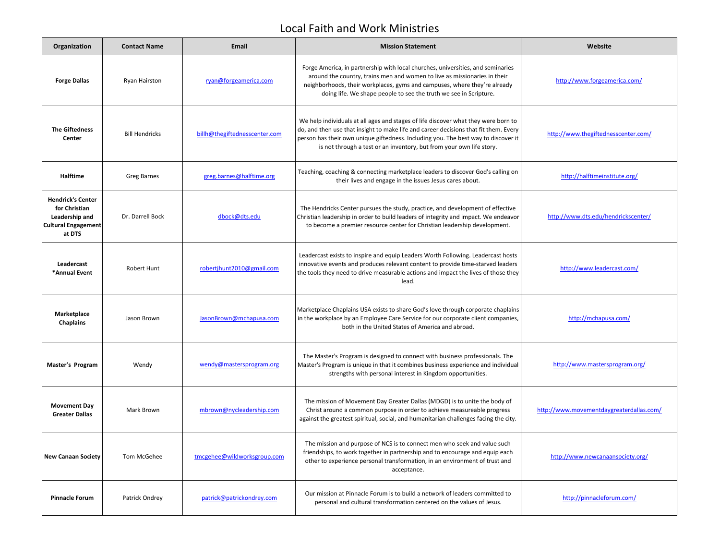## Local Faith and Work Ministries

| Organization                                                                                        | <b>Contact Name</b>   | Email                         | <b>Mission Statement</b>                                                                                                                                                                                                                                                                                                                 | Website                                  |
|-----------------------------------------------------------------------------------------------------|-----------------------|-------------------------------|------------------------------------------------------------------------------------------------------------------------------------------------------------------------------------------------------------------------------------------------------------------------------------------------------------------------------------------|------------------------------------------|
| <b>Forge Dallas</b>                                                                                 | Ryan Hairston         | ryan@forgeamerica.com         | Forge America, in partnership with local churches, universities, and seminaries<br>around the country, trains men and women to live as missionaries in their<br>neighborhoods, their workplaces, gyms and campuses, where they're already<br>doing life. We shape people to see the truth we see in Scripture.                           | http://www.forgeamerica.com/             |
| <b>The Giftedness</b><br>Center                                                                     | <b>Bill Hendricks</b> | billh@thegiftednesscenter.com | We help individuals at all ages and stages of life discover what they were born to<br>do, and then use that insight to make life and career decisions that fit them. Every<br>person has their own unique giftedness. Including you. The best way to discover it<br>is not through a test or an inventory, but from your own life story. | http://www.thegiftednesscenter.com/      |
| <b>Halftime</b>                                                                                     | Greg Barnes           | greg.barnes@halftime.org      | Teaching, coaching & connecting marketplace leaders to discover God's calling on<br>their lives and engage in the issues Jesus cares about.                                                                                                                                                                                              | http://halftimeinstitute.org/            |
| <b>Hendrick's Center</b><br>for Christian<br>Leadership and<br><b>Cultural Engagement</b><br>at DTS | Dr. Darrell Bock      | dbock@dts.edu                 | The Hendricks Center pursues the study, practice, and development of effective<br>Christian leadership in order to build leaders of integrity and impact. We endeavor<br>to become a premier resource center for Christian leadership development.                                                                                       | http://www.dts.edu/hendrickscenter/      |
| Leadercast<br>*Annual Event                                                                         | <b>Robert Hunt</b>    | robertjhunt2010@gmail.com     | Leadercast exists to inspire and equip Leaders Worth Following. Leadercast hosts<br>innovative events and produces relevant content to provide time-starved leaders<br>the tools they need to drive measurable actions and impact the lives of those they<br>lead.                                                                       | http://www.leadercast.com/               |
| Marketplace<br><b>Chaplains</b>                                                                     | Jason Brown           | JasonBrown@mchapusa.com       | Marketplace Chaplains USA exists to share God's love through corporate chaplains<br>in the workplace by an Employee Care Service for our corporate client companies,<br>both in the United States of America and abroad.                                                                                                                 | http://mchapusa.com/                     |
| Master's Program                                                                                    | Wendy                 | wendy@mastersprogram.org      | The Master's Program is designed to connect with business professionals. The<br>Master's Program is unique in that it combines business experience and individual<br>strengths with personal interest in Kingdom opportunities.                                                                                                          | http://www.mastersprogram.org/           |
| <b>Movement Day</b><br><b>Greater Dallas</b>                                                        | Mark Brown            | mbrown@nycleadership.com      | The mission of Movement Day Greater Dallas (MDGD) is to unite the body of<br>Christ around a common purpose in order to achieve measureable progress<br>against the greatest spiritual, social, and humanitarian challenges facing the city.                                                                                             | http://www.movementdaygreaterdallas.com/ |
| <b>New Canaan Society</b>                                                                           | Tom McGehee           | tmcgehee@wildworksgroup.com   | The mission and purpose of NCS is to connect men who seek and value such<br>friendships, to work together in partnership and to encourage and equip each<br>other to experience personal transformation, in an environment of trust and<br>acceptance.                                                                                   | http://www.newcanaansociety.org/         |
| <b>Pinnacle Forum</b>                                                                               | Patrick Ondrey        | patrick@patrickondrey.com     | Our mission at Pinnacle Forum is to build a network of leaders committed to<br>personal and cultural transformation centered on the values of Jesus.                                                                                                                                                                                     | http://pinnacleforum.com/                |